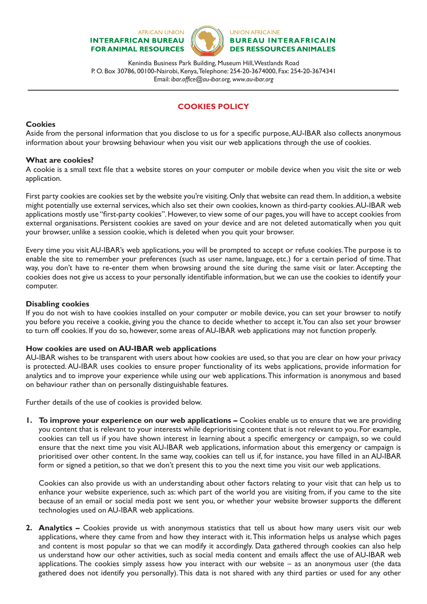#### **AFRICAN UNION INTERAFRICAN BUREAU FOR ANIMAL RESOURCES**



**UNION AFRICAINE BUREAU INTERAFRICAIN DES RESSOURCES ANIMALES** 

Kenindia Business Park Building, Museum Hill, Westlands Road P. O. Box 30786, 00100-Nairobi, Kenya, Telephone: 254-20-3674000, Fax: 254-20-3674341 Email: *ibar.office@au-ibar.org, www.au-ibar.org*

# **COOKIES POLICY**

### **Cookies**

Aside from the personal information that you disclose to us for a specific purpose, AU-IBAR also collects anonymous information about your browsing behaviour when you visit our web applications through the use of cookies.

## **What are cookies?**

A cookie is a small text file that a website stores on your computer or mobile device when you visit the site or web application.

First party cookies are cookies set by the website you're visiting. Only that website can read them. In addition, a website might potentially use external services, which also set their own cookies, known as third-party cookies. AU-IBAR web applications mostly use "first-party cookies". However, to view some of our pages, you will have to accept cookies from external organisations. Persistent cookies are saved on your device and are not deleted automatically when you quit your browser, unlike a session cookie, which is deleted when you quit your browser.

Every time you visit AU-IBAR's web applications, you will be prompted to accept or refuse cookies. The purpose is to enable the site to remember your preferences (such as user name, language, etc.) for a certain period of time. That way, you don't have to re-enter them when browsing around the site during the same visit or later. Accepting the cookies does not give us access to your personally identifiable information, but we can use the cookies to identify your computer.

### **Disabling cookies**

If you do not wish to have cookies installed on your computer or mobile device, you can set your browser to notify you before you receive a cookie, giving you the chance to decide whether to accept it. You can also set your browser to turn off cookies. If you do so, however, some areas of AU-IBAR web applications may not function properly.

### **How cookies are used on AU-IBAR web applications**

AU-IBAR wishes to be transparent with users about how cookies are used, so that you are clear on how your privacy is protected. AU-IBAR uses cookies to ensure proper functionality of its webs applications, provide information for analytics and to improve your experience while using our web applications. This information is anonymous and based on behaviour rather than on personally distinguishable features.

Further details of the use of cookies is provided below.

**1. To improve your experience on our web applications –** Cookies enable us to ensure that we are providing you content that is relevant to your interests while deprioritising content that is not relevant to you. For example, cookies can tell us if you have shown interest in learning about a specific emergency or campaign, so we could ensure that the next time you visit AU-IBAR web applications, information about this emergency or campaign is prioritised over other content. In the same way, cookies can tell us if, for instance, you have filled in an AU-IBAR form or signed a petition, so that we don't present this to you the next time you visit our web applications.

Cookies can also provide us with an understanding about other factors relating to your visit that can help us to enhance your website experience, such as: which part of the world you are visiting from, if you came to the site because of an email or social media post we sent you, or whether your website browser supports the different technologies used on AU-IBAR web applications.

**2. Analytics –** Cookies provide us with anonymous statistics that tell us about how many users visit our web applications, where they came from and how they interact with it. This information helps us analyse which pages and content is most popular so that we can modify it accordingly. Data gathered through cookies can also help us understand how our other activities, such as social media content and emails affect the use of AU-IBAR web applications. The cookies simply assess how you interact with our website – as an anonymous user (the data gathered does not identify you personally). This data is not shared with any third parties or used for any other